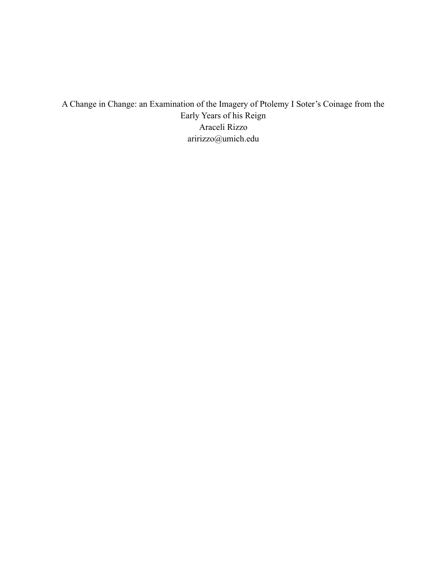A Change in Change: an Examination of the Imagery of Ptolemy I Soter's Coinage from the Early Years of his Reign Araceli Rizzo [aririzzo@umich.edu](mailto:aririzzo@umich.edu)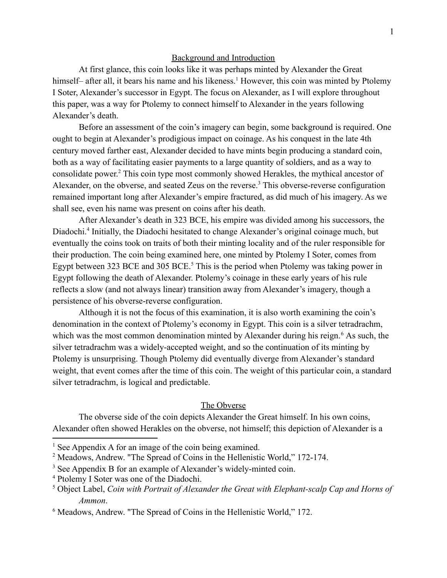### Background and Introduction

At first glance, this coin looks like it was perhaps minted by Alexander the Great himself– after all, it bears his name and his likeness.<sup>1</sup> However, this coin was minted by Ptolemy I Soter, Alexander's successor in Egypt. The focus on Alexander, as I will explore throughout this paper, was a way for Ptolemy to connect himself to Alexander in the years following Alexander's death.

Before an assessment of the coin's imagery can begin, some background is required. One ought to begin at Alexander's prodigious impact on coinage. As his conquest in the late 4th century moved farther east, Alexander decided to have mints begin producing a standard coin, both as a way of facilitating easier payments to a large quantity of soldiers, and as a way to consolidate power. <sup>2</sup> This coin type most commonly showed Herakles, the mythical ancestor of Alexander, on the obverse, and seated Zeus on the reverse.<sup>3</sup> This obverse-reverse configuration remained important long after Alexander's empire fractured, as did much of his imagery. As we shall see, even his name was present on coins after his death.

After Alexander's death in 323 BCE, his empire was divided among his successors, the Diadochi.<sup>4</sup> Initially, the Diadochi hesitated to change Alexander's original coinage much, but eventually the coins took on traits of both their minting locality and of the ruler responsible for their production. The coin being examined here, one minted by Ptolemy I Soter, comes from Egypt between 323 BCE and 305 BCE.<sup>5</sup> This is the period when Ptolemy was taking power in Egypt following the death of Alexander. Ptolemy's coinage in these early years of his rule reflects a slow (and not always linear) transition away from Alexander's imagery, though a persistence of his obverse-reverse configuration.

Although it is not the focus of this examination, it is also worth examining the coin's denomination in the context of Ptolemy's economy in Egypt. This coin is a silver tetradrachm, which was the most common denomination minted by Alexander during his reign.<sup>6</sup> As such, the silver tetradrachm was a widely-accepted weight, and so the continuation of its minting by Ptolemy is unsurprising. Though Ptolemy did eventually diverge from Alexander's standard weight, that event comes after the time of this coin. The weight of this particular coin, a standard silver tetradrachm, is logical and predictable.

### The Obverse

The obverse side of the coin depicts Alexander the Great himself. In his own coins, Alexander often showed Herakles on the obverse, not himself; this depiction of Alexander is a

<sup>&</sup>lt;sup>1</sup> See Appendix A for an image of the coin being examined.

<sup>2</sup> Meadows, Andrew. "The Spread of Coins in the Hellenistic World," 172-174.

<sup>&</sup>lt;sup>3</sup> See Appendix B for an example of Alexander's widely-minted coin.

<sup>4</sup> Ptolemy I Soter was one of the Diadochi.

<sup>5</sup> Object Label, *Coin with Portrait of Alexander the Great with Elephant-scalp Cap and Horns of Ammon*.

<sup>6</sup> Meadows, Andrew. "The Spread of Coins in the Hellenistic World," 172.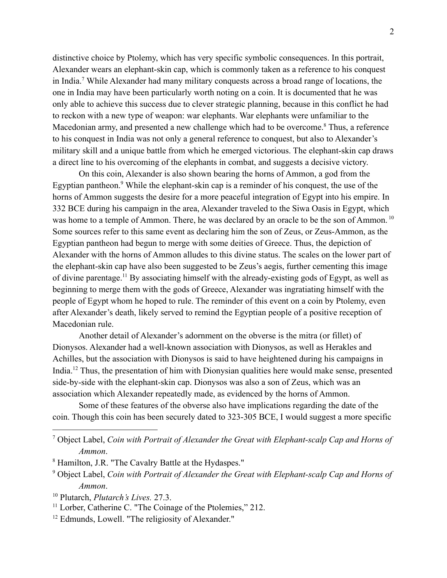distinctive choice by Ptolemy, which has very specific symbolic consequences. In this portrait, Alexander wears an elephant-skin cap, which is commonly taken as a reference to his conquest in India.<sup>7</sup> While Alexander had many military conquests across a broad range of locations, the one in India may have been particularly worth noting on a coin. It is documented that he was only able to achieve this success due to clever strategic planning, because in this conflict he had to reckon with a new type of weapon: war elephants. War elephants were unfamiliar to the Macedonian army, and presented a new challenge which had to be overcome.<sup>8</sup> Thus, a reference to his conquest in India was not only a general reference to conquest, but also to Alexander's military skill and a unique battle from which he emerged victorious. The elephant-skin cap draws a direct line to his overcoming of the elephants in combat, and suggests a decisive victory.

On this coin, Alexander is also shown bearing the horns of Ammon, a god from the Egyptian pantheon.<sup>9</sup> While the elephant-skin cap is a reminder of his conquest, the use of the horns of Ammon suggests the desire for a more peaceful integration of Egypt into his empire. In 332 BCE during his campaign in the area, Alexander traveled to the Siwa Oasis in Egypt, which was home to a temple of Ammon. There, he was declared by an oracle to be the son of Ammon.<sup>10</sup> Some sources refer to this same event as declaring him the son of Zeus, or Zeus-Ammon, as the Egyptian pantheon had begun to merge with some deities of Greece. Thus, the depiction of Alexander with the horns of Ammon alludes to this divine status. The scales on the lower part of the elephant-skin cap have also been suggested to be Zeus's aegis, further cementing this image of divine parentage.<sup>11</sup> By associating himself with the already-existing gods of Egypt, as well as beginning to merge them with the gods of Greece, Alexander was ingratiating himself with the people of Egypt whom he hoped to rule. The reminder of this event on a coin by Ptolemy, even after Alexander's death, likely served to remind the Egyptian people of a positive reception of Macedonian rule.

Another detail of Alexander's adornment on the obverse is the mitra (or fillet) of Dionysos. Alexander had a well-known association with Dionysos, as well as Herakles and Achilles, but the association with Dionysos is said to have heightened during his campaigns in India.<sup>12</sup> Thus, the presentation of him with Dionysian qualities here would make sense, presented side-by-side with the elephant-skin cap. Dionysos was also a son of Zeus, which was an association which Alexander repeatedly made, as evidenced by the horns of Ammon.

Some of these features of the obverse also have implications regarding the date of the coin. Though this coin has been securely dated to 323-305 BCE, I would suggest a more specific

<sup>12</sup> Edmunds, Lowell. "The religiosity of Alexander."

<sup>7</sup> Object Label, *Coin with Portrait of Alexander the Great with Elephant-scalp Cap and Horns of Ammon*.

<sup>8</sup> Hamilton, J.R. "The Cavalry Battle at the Hydaspes."

<sup>9</sup> Object Label, *Coin with Portrait of Alexander the Great with Elephant-scalp Cap and Horns of Ammon*.

<sup>10</sup> Plutarch, *Plutarch's Lives.* 27.3.

<sup>&</sup>lt;sup>11</sup> Lorber, Catherine C. "The Coinage of the Ptolemies," 212.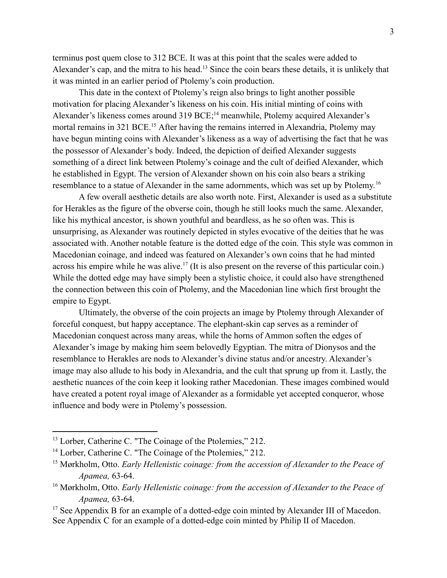terminus post quem close to 312 BCE. It was at this point that the scales were added to Alexander's cap, and the mitra to his head.<sup>13</sup> Since the coin bears these details, it is unlikely that it was minted in an earlier period of Ptolemy's coin production.

This date in the context of Ptolemy's reign also brings to light another possible motivation for placing Alexander's likeness on his coin. His initial minting of coins with Alexander's likeness comes around 319 BCE;<sup>14</sup> meanwhile, Ptolemy acquired Alexander's mortal remains in 321 BCE.<sup>15</sup> After having the remains interred in Alexandria, Ptolemy may have begun minting coins with Alexander's likeness as a way of advertising the fact that he was the possessor of Alexander's body. Indeed, the depiction of deified Alexander suggests something of a direct link between Ptolemy's coinage and the cult of deified Alexander, which he established in Egypt. The version of Alexander shown on his coin also bears a striking resemblance to a statue of Alexander in the same adornments, which was set up by Ptolemy.<sup>16</sup>

A few overall aesthetic details are also worth note. First, Alexander is used as a substitute for Herakles as the figure of the obverse coin, though he still looks much the same. Alexander, like his mythical ancestor, is shown youthful and beardless, as he so often was. This is unsurprising, as Alexander was routinely depicted in styles evocative of the deities that he was associated with. Another notable feature is the dotted edge of the coin. This style was common in Macedonian coinage, and indeed was featured on Alexander's own coins that he had minted across his empire while he was alive.<sup>17</sup> (It is also present on the reverse of this particular coin.) While the dotted edge may have simply been a stylistic choice, it could also have strengthened the connection between this coin of Ptolemy, and the Macedonian line which first brought the empire to Egypt.

Ultimately, the obverse of the coin projects an image by Ptolemy through Alexander of forceful conquest, but happy acceptance. The elephant-skin cap serves as a reminder of Macedonian conquest across many areas, while the horns of Ammon soften the edges of Alexander's image by making him seem belovedly Egyptian. The mitra of Dionysos and the resemblance to Herakles are nods to Alexander's divine status and/or ancestry. Alexander's image may also allude to his body in Alexandria, and the cult that sprung up from it. Lastly, the aesthetic nuances of the coin keep it looking rather Macedonian. These images combined would have created a potent royal image of Alexander as a formidable yet accepted conqueror, whose influence and body were in Ptolemy's possession.

<sup>&</sup>lt;sup>13</sup> Lorber, Catherine C. "The Coinage of the Ptolemies," 212.

<sup>&</sup>lt;sup>14</sup> Lorber, Catherine C. "The Coinage of the Ptolemies," 212.

<sup>15</sup> Mørkholm, Otto. *Early Hellenistic coinage: from the accession of Alexander to the Peace of Apamea,* 63-64.

<sup>16</sup> Mørkholm, Otto. *Early Hellenistic coinage: from the accession of Alexander to the Peace of Apamea,* 63-64.

<sup>&</sup>lt;sup>17</sup> See Appendix B for an example of a dotted-edge coin minted by Alexander III of Macedon. See Appendix C for an example of a dotted-edge coin minted by Philip II of Macedon.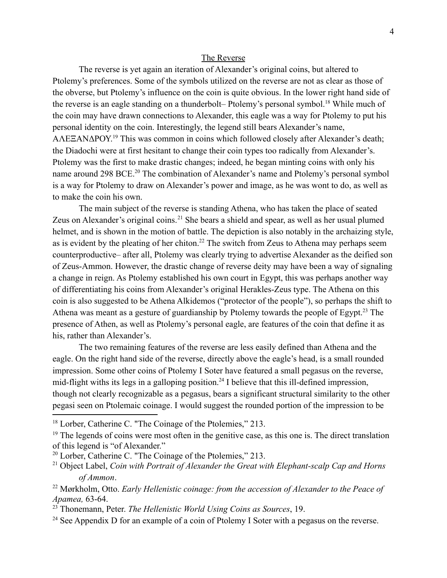### The Reverse

The reverse is yet again an iteration of Alexander's original coins, but altered to Ptolemy's preferences. Some of the symbols utilized on the reverse are not as clear as those of the obverse, but Ptolemy's influence on the coin is quite obvious. In the lower right hand side of the reverse is an eagle standing on a thunderbolt– Ptolemy's personal symbol.<sup>18</sup> While much of the coin may have drawn connections to Alexander, this eagle was a way for Ptolemy to put his personal identity on the coin. Interestingly, the legend still bears Alexander's name, ΑΛΕΞΑΝΔΡΟΥ. <sup>19</sup> This was common in coins which followed closely after Alexander's death; the Diadochi were at first hesitant to change their coin types too radically from Alexander's. Ptolemy was the first to make drastic changes; indeed, he began minting coins with only his name around 298 BCE.<sup>20</sup> The combination of Alexander's name and Ptolemy's personal symbol is a way for Ptolemy to draw on Alexander's power and image, as he was wont to do, as well as to make the coin his own.

The main subject of the reverse is standing Athena, who has taken the place of seated Zeus on Alexander's original coins.<sup>21</sup> She bears a shield and spear, as well as her usual plumed helmet, and is shown in the motion of battle. The depiction is also notably in the archaizing style, as is evident by the pleating of her chiton.<sup>22</sup> The switch from Zeus to Athena may perhaps seem counterproductive– after all, Ptolemy was clearly trying to advertise Alexander as the deified son of Zeus-Ammon. However, the drastic change of reverse deity may have been a way of signaling a change in reign. As Ptolemy established his own court in Egypt, this was perhaps another way of differentiating his coins from Alexander's original Herakles-Zeus type. The Athena on this coin is also suggested to be Athena Alkidemos ("protector of the people"), so perhaps the shift to Athena was meant as a gesture of guardianship by Ptolemy towards the people of Egypt.<sup>23</sup> The presence of Athen, as well as Ptolemy's personal eagle, are features of the coin that define it as his, rather than Alexander's.

The two remaining features of the reverse are less easily defined than Athena and the eagle. On the right hand side of the reverse, directly above the eagle's head, is a small rounded impression. Some other coins of Ptolemy I Soter have featured a small pegasus on the reverse, mid-flight withs its legs in a galloping position.<sup>24</sup> I believe that this ill-defined impression, though not clearly recognizable as a pegasus, bears a significant structural similarity to the other pegasi seen on Ptolemaic coinage. I would suggest the rounded portion of the impression to be

<sup>&</sup>lt;sup>18</sup> Lorber, Catherine C. "The Coinage of the Ptolemies," 213.

<sup>&</sup>lt;sup>19</sup> The legends of coins were most often in the genitive case, as this one is. The direct translation of this legend is "of Alexander."

<sup>20</sup> Lorber, Catherine C. "The Coinage of the Ptolemies," 213.

<sup>21</sup> Object Label, *Coin with Portrait of Alexander the Great with Elephant-scalp Cap and Horns of Ammon*.

<sup>22</sup> Mørkholm, Otto. *Early Hellenistic coinage: from the accession of Alexander to the Peace of Apamea,* 63-64.

<sup>23</sup> Thonemann, Peter. *The Hellenistic World Using Coins as Sources*, 19.

<sup>&</sup>lt;sup>24</sup> See Appendix D for an example of a coin of Ptolemy I Soter with a pegasus on the reverse.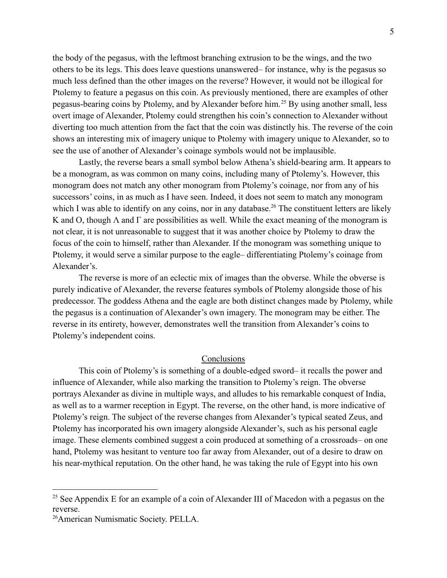the body of the pegasus, with the leftmost branching extrusion to be the wings, and the two others to be its legs. This does leave questions unanswered– for instance, why is the pegasus so much less defined than the other images on the reverse? However, it would not be illogical for Ptolemy to feature a pegasus on this coin. As previously mentioned, there are examples of other pegasus-bearing coins by Ptolemy, and by Alexander before him.<sup>25</sup> By using another small, less overt image of Alexander, Ptolemy could strengthen his coin's connection to Alexander without diverting too much attention from the fact that the coin was distinctly his. The reverse of the coin shows an interesting mix of imagery unique to Ptolemy with imagery unique to Alexander, so to see the use of another of Alexander's coinage symbols would not be implausible.

Lastly, the reverse bears a small symbol below Athena's shield-bearing arm. It appears to be a monogram, as was common on many coins, including many of Ptolemy's. However, this monogram does not match any other monogram from Ptolemy's coinage, nor from any of his successors' coins, in as much as I have seen. Indeed, it does not seem to match any monogram which I was able to identify on any coins, nor in any database.<sup>26</sup> The constituent letters are likely K and O, though Λ and Γ are possibilities as well. While the exact meaning of the monogram is not clear, it is not unreasonable to suggest that it was another choice by Ptolemy to draw the focus of the coin to himself, rather than Alexander. If the monogram was something unique to Ptolemy, it would serve a similar purpose to the eagle– differentiating Ptolemy's coinage from Alexander's.

The reverse is more of an eclectic mix of images than the obverse. While the obverse is purely indicative of Alexander, the reverse features symbols of Ptolemy alongside those of his predecessor. The goddess Athena and the eagle are both distinct changes made by Ptolemy, while the pegasus is a continuation of Alexander's own imagery. The monogram may be either. The reverse in its entirety, however, demonstrates well the transition from Alexander's coins to Ptolemy's independent coins.

### Conclusions

This coin of Ptolemy's is something of a double-edged sword– it recalls the power and influence of Alexander, while also marking the transition to Ptolemy's reign. The obverse portrays Alexander as divine in multiple ways, and alludes to his remarkable conquest of India, as well as to a warmer reception in Egypt. The reverse, on the other hand, is more indicative of Ptolemy's reign. The subject of the reverse changes from Alexander's typical seated Zeus, and Ptolemy has incorporated his own imagery alongside Alexander's, such as his personal eagle image. These elements combined suggest a coin produced at something of a crossroads– on one hand, Ptolemy was hesitant to venture too far away from Alexander, out of a desire to draw on his near-mythical reputation. On the other hand, he was taking the rule of Egypt into his own

<sup>&</sup>lt;sup>25</sup> See Appendix E for an example of a coin of Alexander III of Macedon with a pegasus on the reverse.

<sup>26</sup>American Numismatic Society. PELLA.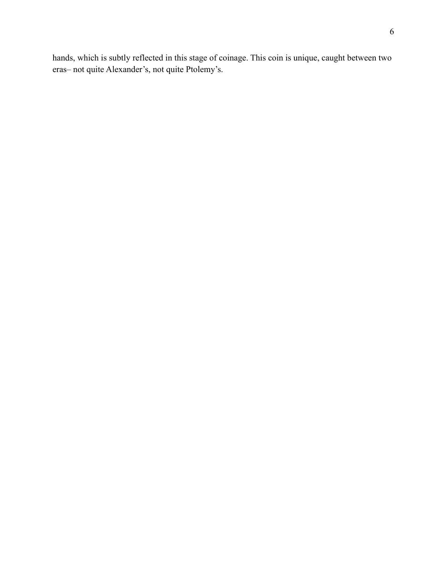hands, which is subtly reflected in this stage of coinage. This coin is unique, caught between two eras– not quite Alexander's, not quite Ptolemy's.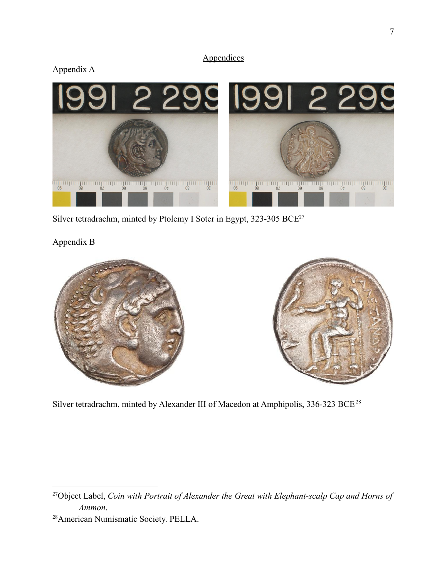### **Appendices**





Silver tetradrachm, minted by Ptolemy I Soter in Egypt, 323-305 BCE $^{27}$ 

Appendix B



Silver tetradrachm, minted by Alexander III of Macedon at Amphipolis, 336-323 BCE<sup>28</sup>

<sup>27</sup>Object Label, *Coin with Portrait of Alexander the Great with Elephant-scalp Cap and Horns of Ammon*.

<sup>28</sup>American Numismatic Society. PELLA.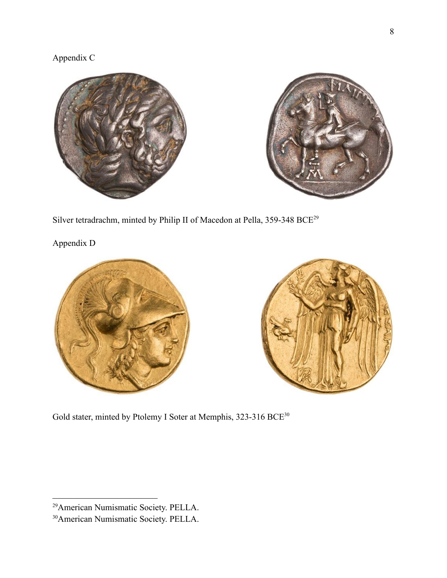## Appendix C



Silver tetradrachm, minted by Philip II of Macedon at Pella, 359-348 BCE<sup>29</sup>

Appendix D





Gold stater, minted by Ptolemy I Soter at Memphis, 323-316 BCE<sup>30</sup>

<sup>29</sup>American Numismatic Society. PELLA.

<sup>30</sup>American Numismatic Society. PELLA.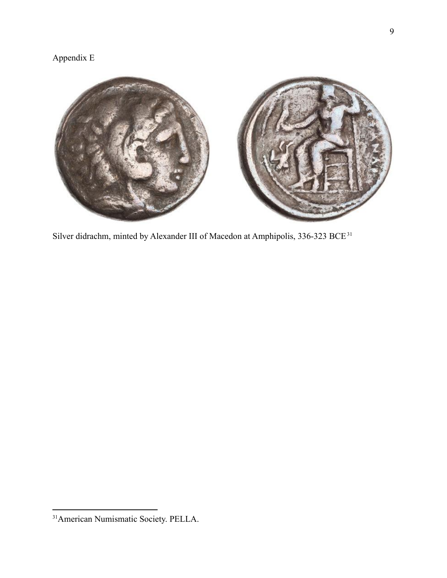# Appendix E



Silver didrachm, minted by Alexander III of Macedon at Amphipolis, 336-323 BCE<sup>31</sup>

<sup>31</sup>American Numismatic Society. PELLA.